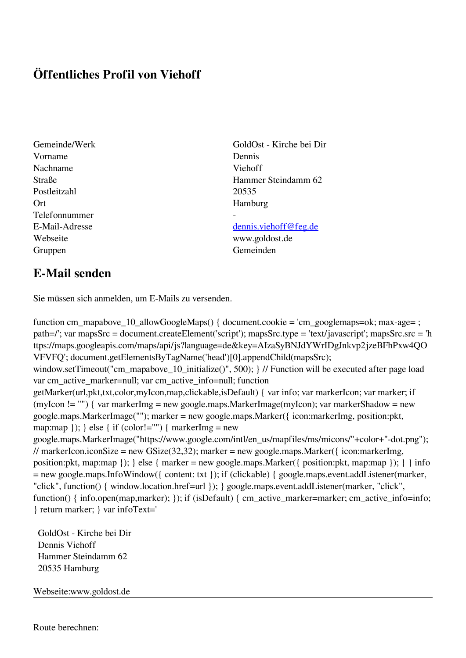## **Öffentliches Profil von Viehoff**

- Vorname Dennis Nachname Viehoff Postleitzahl 20535 Ort Hamburg Telefonnummer - Webseite www.goldost.de Gruppen Gemeinden Gemeinden Gemeinden Gemeinden Gemeinden Gemeinden Gemeinden Gemeinden Gemeinden Gemeinden G
- Gemeinde/Werk GoldOst Kirche bei Dir Straße Hammer Steindamm 62

## E-Mail-Adresse [dennis.viehoff@feg.de](mailto:dennis.viehoff@feg.de)

## **E-Mail senden**

Sie müssen sich anmelden, um E-Mails zu versenden.

function cm\_mapabove\_10\_allowGoogleMaps() { document.cookie = 'cm\_googlemaps=ok; max-age= ; path=/'; var mapsSrc = document.createElement('script'); mapsSrc.type = 'text/javascript'; mapsSrc.src = 'h ttps://maps.googleapis.com/maps/api/js?language=de&key=AIzaSyBNJdYWrIDgJnkvp2jzeBFhPxw4QO VFVFQ'; document.getElementsByTagName('head')[0].appendChild(mapsSrc); window.setTimeout("cm\_mapabove\_10\_initialize()", 500); } // Function will be executed after page load var cm\_active\_marker=null; var cm\_active\_info=null; function getMarker(url,pkt,txt,color,myIcon,map,clickable,isDefault) { var info; var markerIcon; var marker; if (myIcon != "") { var markerImg = new google.maps.MarkerImage(myIcon); var markerShadow = new google.maps.MarkerImage(""); marker = new google.maps.Marker({ icon:markerImg, position:pkt, map:map  $\}$ ;  $\}$  else  $\{$  if (color!="")  $\{$  markerImg = new google.maps.MarkerImage("https://www.google.com/intl/en\_us/mapfiles/ms/micons/"+color+"-dot.png"); // markerIcon.iconSize = new GSize(32,32); marker = new google.maps.Marker({ $i$ con:markerImg, position:pkt, map:map }); } else { marker = new google.maps.Marker({ position:pkt, map:map }); } } info = new google.maps.InfoWindow({ content: txt }); if (clickable) { google.maps.event.addListener(marker, "click", function() { window.location.href=url }); } google.maps.event.addListener(marker, "click", function() { info.open(map,marker); }); if (isDefault) { cm\_active\_marker=marker; cm\_active\_info=info; } return marker; } var infoText='

 GoldOst - Kirche bei Dir Dennis Viehoff Hammer Steindamm 62 20535 Hamburg

Webseite:www.goldost.de

Route berechnen: